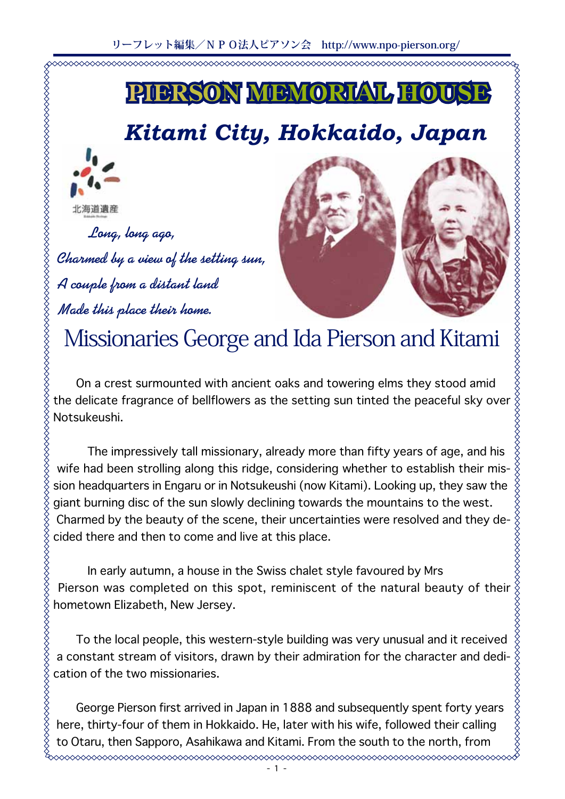

# Kitami City, Hokkaido, Japan



Long, long ago, Charmed by a view of the setting sun, A couple from a distant land Made this place their home.



XXXXXXXXXXXXXXXX

# Missionaries George and Ida Pierson and Kitami

On a crest surmounted with ancient oaks and towering elms they stood amid .Notsukeushi

The impressively tall missionary, already more than fifty years of age, and his sion headquarters in Engaru or in Notsukeushi (now Kitami). Looking up, they saw the wife had been strolling along this ridge, considering whether to establish their misgiant burning disc of the sun slowly declining towards the mountains to the west. Charmed by the beauty of the scene, their uncertainties were resolved and they de-<br>cided there and then to come and live at this place.

In early autumn, a house in the Swiss chalet style favoured by Mrs Pierson was completed on this spot, reminiscent of the natural beauty of their hometown Elizabeth, New Jersey.

To the local people, this western-style building was very unusual and it received a constant stream of visitors, drawn by their admiration for the character and dedication of the two missionaries.

George Pierson first arrived in Japan in 1888 and subsequently spent forty years here, thirty-four of them in Hokkaido. He, later with his wife, followed their calling to Otaru, then Sapporo, Asahikawa and Kitami. From the south to the north, from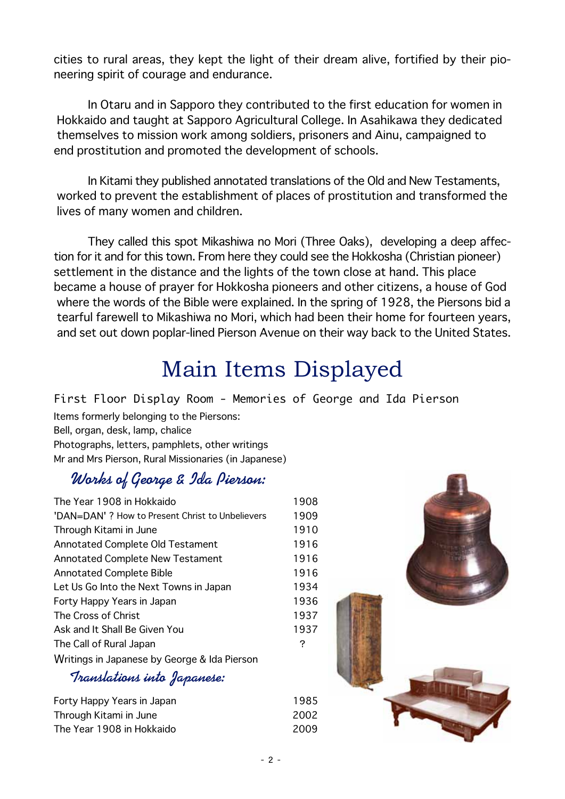cities to rural areas, they kept the light of their dream alive, fortified by their pio-<br>neering spirit of courage and endurance.

In Otaru and in Sapporo they contributed to the first education for women in Hokkaido and taught at Sapporo Agricultural College. In Asahikawa they dedicated themselves to mission work among soldiers, prisoners and Ainu, campaigned to end prostitution and promoted the development of schools.

In Kitami they published annotated translations of the Old and New Testaments, worked to prevent the establishment of places of prostitution and transformed the lives of many women and children.

tion for it and for this town. From here they could see the Hokkosha (Christian pioneer) They called this spot Mikashiwa no Mori (Three Oaks), developing a deep affecsettlement in the distance and the lights of the town close at hand. This place became a house of praver for Hokkosha pioneers and other citizens, a house of God where the words of the Bible were explained. In the spring of 1928, the Piersons bid a tearful farewell to Mikashiwa no Mori, which had been their home for fourteen years, and set out down poplar-lined Pierson Avenue on their way back to the United States.

# Main Items Displayed

First Floor Display Room - Memories of George and Ida Pierson Items formerly belonging to the Piersons: Bell, organ, desk, lamp, chalice Photographs, letters, pamphlets, other writings Mr and Mrs Pierson, Rural Missionaries (in Japanese)

## Works of George & Ida Pierson:

| The Year 1908 in Hokkaido                        | 1908 |
|--------------------------------------------------|------|
| 'DAN=DAN' ? How to Present Christ to Unbelievers | 1909 |
| Through Kitami in June                           | 1910 |
| Annotated Complete Old Testament                 | 1916 |
| <b>Annotated Complete New Testament</b>          | 1916 |
| <b>Annotated Complete Bible</b>                  | 1916 |
| Let Us Go Into the Next Towns in Japan           | 1934 |
| Forty Happy Years in Japan                       | 1936 |
| The Cross of Christ                              | 1937 |
| Ask and It Shall Be Given You                    | 1937 |
| The Call of Rural Japan                          | ?    |
| Writings in Japanese by George & Ida Pierson     |      |
|                                                  |      |

#### **:Japanese into Translations**

| Forty Happy Years in Japan | 1985  |
|----------------------------|-------|
| Through Kitami in June     | -2002 |
| The Year 1908 in Hokkaido  | 2009  |

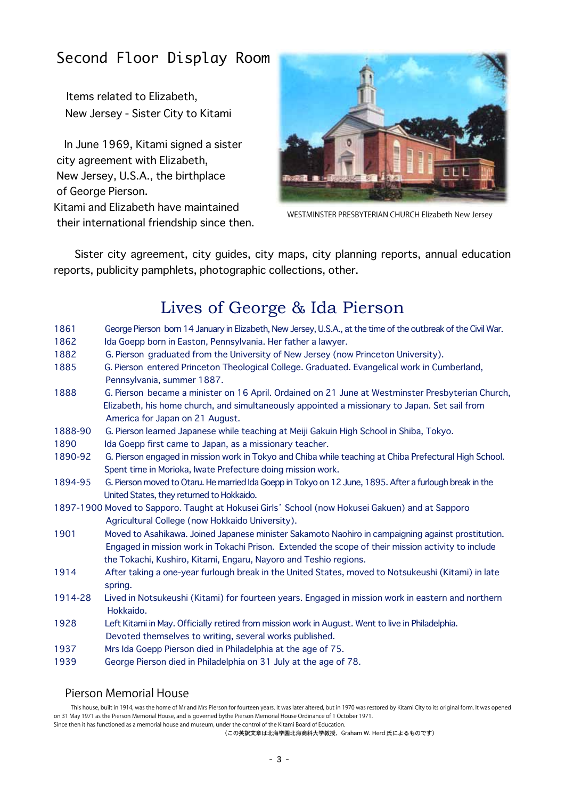### Second Floor Display Room

Items related to Elizabeth, New Jersey - Sister City to Kitami

In June 1969, Kitami signed a sister city agreement with Elizabeth, New Jersey, U.S.A., the birthplace of George Pierson. Kitami and Elizabeth have maintained their international friendship since then.



WESTMINSTER PRESBYTERIAN CHURCH Elizabeth New Jersey

Sister city agreement, city guides, city maps, city planning reports, annual education reports, publicity pamphlets, photographic collections, other.

### Lives of George & Ida Pierson

| 1861                                                                                            | George Pierson born 14 January in Elizabeth, New Jersey, U.S.A., at the time of the outbreak of the Civil War. |
|-------------------------------------------------------------------------------------------------|----------------------------------------------------------------------------------------------------------------|
| 1862                                                                                            | Ida Goepp born in Easton, Pennsylvania. Her father a lawyer.                                                   |
| 1882                                                                                            | G. Pierson graduated from the University of New Jersey (now Princeton University).                             |
| 1885                                                                                            | G. Pierson entered Princeton Theological College. Graduated. Evangelical work in Cumberland,                   |
|                                                                                                 | Pennsylvania, summer 1887.                                                                                     |
| 1888                                                                                            | G. Pierson became a minister on 16 April. Ordained on 21 June at Westminster Presbyterian Church,              |
|                                                                                                 | Elizabeth, his home church, and simultaneously appointed a missionary to Japan. Set sail from                  |
|                                                                                                 | America for Japan on 21 August.                                                                                |
| 1888-90                                                                                         | G. Pierson learned Japanese while teaching at Meiji Gakuin High School in Shiba, Tokyo.                        |
| 1890                                                                                            | Ida Goepp first came to Japan, as a missionary teacher.                                                        |
| 1890-92                                                                                         | G. Pierson engaged in mission work in Tokyo and Chiba while teaching at Chiba Prefectural High School.         |
|                                                                                                 | Spent time in Morioka, Iwate Prefecture doing mission work.                                                    |
| 1894-95                                                                                         | G. Pierson moved to Otaru. He married Ida Goepp in Tokyo on 12 June, 1895. After a furlough break in the       |
|                                                                                                 | United States, they returned to Hokkaido.                                                                      |
| 1897-1900 Moved to Sapporo. Taught at Hokusei Girls' School (now Hokusei Gakuen) and at Sapporo |                                                                                                                |
|                                                                                                 | Agricultural College (now Hokkaido University).                                                                |
| 1901                                                                                            | Moved to Asahikawa. Joined Japanese minister Sakamoto Naohiro in campaigning against prostitution.             |
|                                                                                                 | Engaged in mission work in Tokachi Prison. Extended the scope of their mission activity to include             |
|                                                                                                 | the Tokachi, Kushiro, Kitami, Engaru, Nayoro and Teshio regions.                                               |
| 1914                                                                                            | After taking a one-year furlough break in the United States, moved to Notsukeushi (Kitami) in late             |
|                                                                                                 | spring.                                                                                                        |
| 1914-28                                                                                         | Lived in Notsukeushi (Kitami) for fourteen years. Engaged in mission work in eastern and northern              |
|                                                                                                 | Hokkaido.                                                                                                      |
| 1928                                                                                            | Left Kitami in May. Officially retired from mission work in August. Went to live in Philadelphia.              |
|                                                                                                 | Devoted themselves to writing, several works published.                                                        |
| 1937                                                                                            | Mrs Ida Goepp Pierson died in Philadelphia at the age of 75.                                                   |
| 1939                                                                                            | George Pierson died in Philadelphia on 31 July at the age of 78.                                               |
|                                                                                                 |                                                                                                                |

#### Pierson Memorial House

This house, built in 1914, was the home of Mr and Mrs Pierson for fourteen years. It was later altered, but in 1970 was restored by Kitami City to its original form. It was opened on 31 May 1971 as the Pierson Memorial House, and is governed bythe Pierson Memorial House Ordinance of 1 October 1971. Since then it has functioned as a memorial house and museum, under the control of the Kitami Board of Education.

(この英訳文章は北海学園北海商科大学教授、Graham W. Herd 氏によるものです)